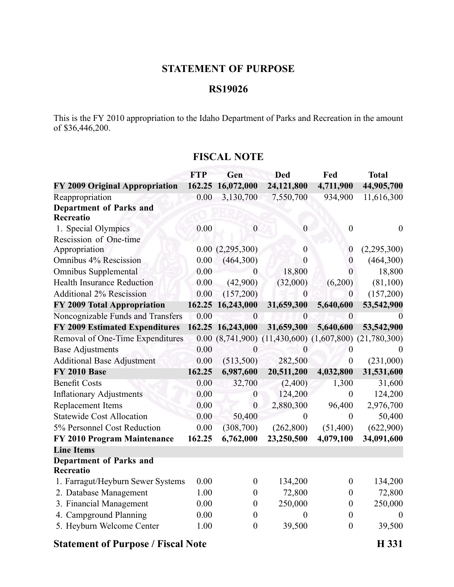## **STATEMENT OF PURPOSE**

#### **RS19026**

This is the FY 2010 appropriation to the Idaho Department of Parks and Recreation in the amount of \$36,446,200.

### **FISCAL NOTE**

|                                       | <b>FTP</b> | Gen               | <b>Ded</b>                                  | Fed              | <b>Total</b>     |
|---------------------------------------|------------|-------------------|---------------------------------------------|------------------|------------------|
| <b>FY 2009 Original Appropriation</b> | 162.25     | 16,072,000        | 24,121,800                                  | 4,711,900        | 44,905,700       |
| Reappropriation                       | 0.00       | 3,130,700         | 7,550,700                                   | 934,900          | 11,616,300       |
| <b>Department of Parks and</b>        |            |                   |                                             |                  |                  |
| Recreatio                             |            |                   |                                             |                  |                  |
| 1. Special Olympics                   | 0.00       | $\boldsymbol{0}$  | $\boldsymbol{0}$                            | $\boldsymbol{0}$ | $\boldsymbol{0}$ |
| Rescission of One-time                |            |                   |                                             |                  |                  |
| Appropriation                         |            | 0.00(2,295,300)   | $\theta$                                    | $\boldsymbol{0}$ | (2,295,300)      |
| Omnibus 4% Rescission                 | 0.00       | (464,300)         | $\overline{0}$                              | $\overline{0}$   | (464,300)        |
| Omnibus Supplemental                  | 0.00       | 0                 | 18,800                                      | $\theta$         | 18,800           |
| <b>Health Insurance Reduction</b>     | 0.00       | (42,900)          | (32,000)                                    | (6,200)          | (81,100)         |
| <b>Additional 2% Rescission</b>       | 0.00       | (157,200)         | $\overline{0}$                              | $\theta$         | (157,200)        |
| FY 2009 Total Appropriation           | 162.25     | 16,243,000        | 31,659,300                                  | 5,640,600        | 53,542,900       |
| Noncognizable Funds and Transfers     | 0.00       | $\theta$          | $\theta$                                    | $\overline{0}$   |                  |
| <b>FY 2009 Estimated Expenditures</b> |            | 162.25 16,243,000 | 31,659,300                                  | 5,640,600        | 53,542,900       |
| Removal of One-Time Expenditures      |            | 0.00(8,741,900)   | $(11,430,600)$ $(1,607,800)$ $(21,780,300)$ |                  |                  |
| <b>Base Adjustments</b>               | 0.00       | $\theta$          | $\theta$                                    | $\boldsymbol{0}$ |                  |
| <b>Additional Base Adjustment</b>     | 0.00       | (513,500)         | 282,500                                     | $\boldsymbol{0}$ | (231,000)        |
| <b>FY 2010 Base</b>                   | 162.25     | 6,987,600         | 20,511,200                                  | 4,032,800        | 31,531,600       |
| <b>Benefit Costs</b>                  | 0.00       | 32,700            | (2,400)                                     | 1,300            | 31,600           |
| <b>Inflationary Adjustments</b>       | 0.00       | $\boldsymbol{0}$  | 124,200                                     | $\boldsymbol{0}$ | 124,200          |
| Replacement Items                     | 0.00       | $\overline{0}$    | 2,880,300                                   | 96,400           | 2,976,700        |
| <b>Statewide Cost Allocation</b>      | 0.00       | 50,400            | $\theta$                                    | $\overline{0}$   | 50,400           |
| 5% Personnel Cost Reduction           | 0.00       | (308, 700)        | (262, 800)                                  | (51,400)         | (622,900)        |
| FY 2010 Program Maintenance           | 162.25     | 6,762,000         | 23,250,500                                  | 4,079,100        | 34,091,600       |
| <b>Line Items</b>                     |            |                   |                                             |                  |                  |
| <b>Department of Parks and</b>        |            |                   |                                             |                  |                  |
| Recreatio                             |            |                   |                                             |                  |                  |
| 1. Farragut/Heyburn Sewer Systems     | 0.00       | $\boldsymbol{0}$  | 134,200                                     | $\boldsymbol{0}$ | 134,200          |
| 2. Database Management                | 1.00       | $\boldsymbol{0}$  | 72,800                                      | $\boldsymbol{0}$ | 72,800           |
| 3. Financial Management               | 0.00       | $\theta$          | 250,000                                     | $\boldsymbol{0}$ | 250,000          |
| 4. Campground Planning                | 0.00       | $\boldsymbol{0}$  | $^{(1)}$                                    | $\boldsymbol{0}$ | $\theta$         |
| 5. Heyburn Welcome Center             | 1.00       | $\boldsymbol{0}$  | 39,500                                      | $\boldsymbol{0}$ | 39,500           |
|                                       |            |                   |                                             |                  |                  |

#### **Statement of Purpose / Fiscal Note H 331**